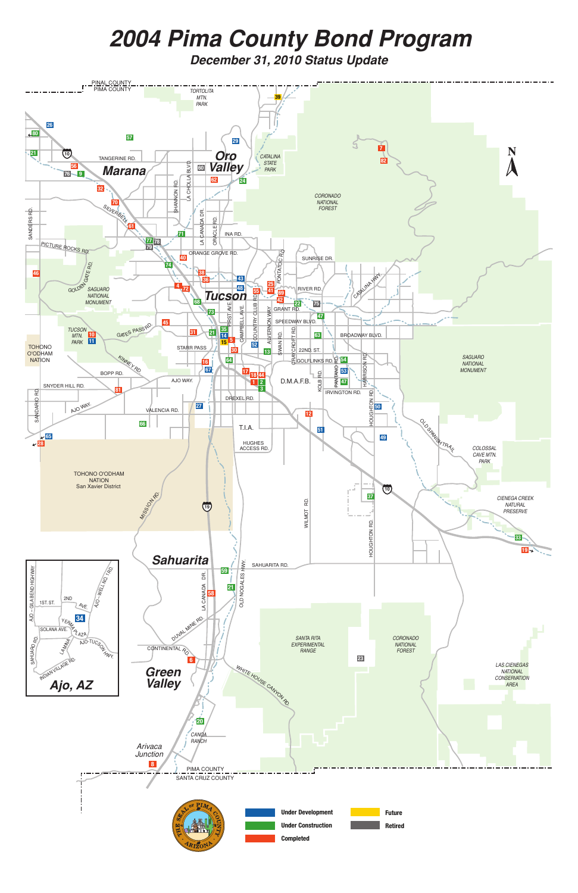

# *2004 Pima County Bond Program*

*December 31, 2010 Status Update*